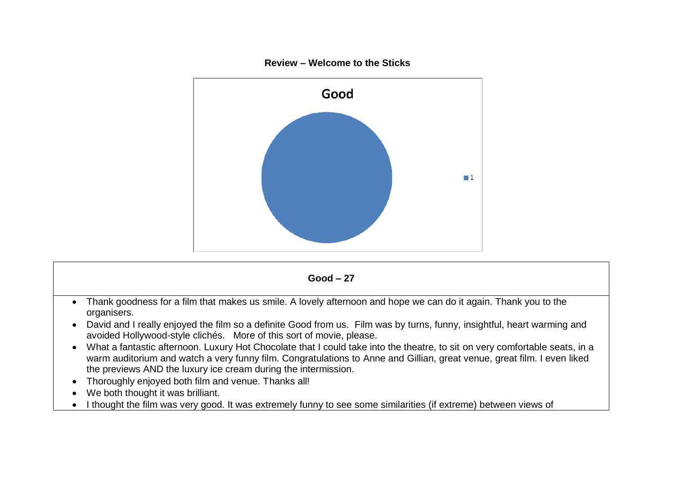



- We both thought it was brilliant.
- I thought the film was very good. It was extremely funny to see some similarities (if extreme) between views of

## **Review – Welcome to the Sticks**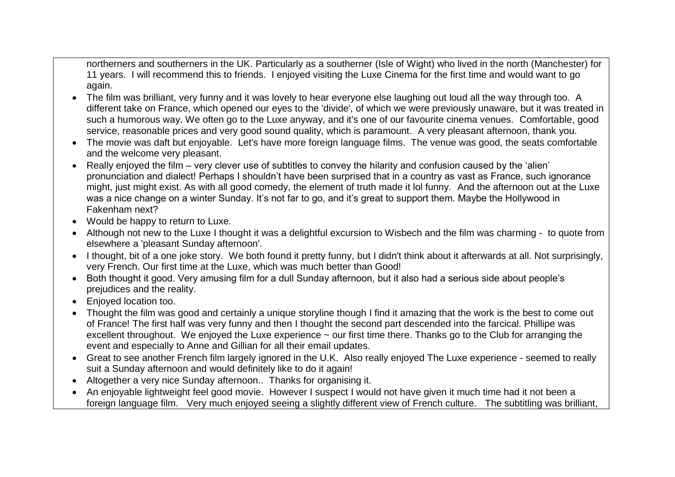northerners and southerners in the UK. Particularly as a southerner (Isle of Wight) who lived in the north (Manchester) for 11 years. I will recommend this to friends. I enjoyed visiting the Luxe Cinema for the first time and would want to go again.

- The film was brilliant, very funny and it was lovely to hear everyone else laughing out loud all the way through too. A different take on France, which opened our eyes to the 'divide', of which we were previously unaware, but it was treated in such a humorous way. We often go to the Luxe anyway, and it's one of our favourite cinema venues. Comfortable, good service, reasonable prices and very good sound quality, which is paramount. A very pleasant afternoon, thank you.
- The movie was daft but enjoyable. Let's have more foreign language films. The venue was good, the seats comfortable and the welcome very pleasant.
- Really enjoyed the film very clever use of subtitles to convey the hilarity and confusion caused by the 'alien' pronunciation and dialect! Perhaps I shouldn't have been surprised that in a country as vast as France, such ignorance might, just might exist. As with all good comedy, the element of truth made it lol funny. And the afternoon out at the Luxe was a nice change on a winter Sunday. It's not far to go, and it's great to support them. Maybe the Hollywood in Fakenham next?
- Would be happy to return to Luxe.
- Although not new to the Luxe I thought it was a delightful excursion to Wisbech and the film was charming to quote from elsewhere a 'pleasant Sunday afternoon'.
- I thought, bit of a one joke story. We both found it pretty funny, but I didn't think about it afterwards at all. Not surprisingly, very French. Our first time at the Luxe, which was much better than Good!
- Both thought it good. Very amusing film for a dull Sunday afternoon, but it also had a serious side about people's prejudices and the reality.
- Enjoyed location too.
- Thought the film was good and certainly a unique storyline though I find it amazing that the work is the best to come out of France! The first half was very funny and then I thought the second part descended into the farcical. Phillipe was excellent throughout. We enjoyed the Luxe experience ~ our first time there. Thanks go to the Club for arranging the event and especially to Anne and Gillian for all their email updates.
- Great to see another French film largely ignored in the U.K. Also really enjoyed The Luxe experience seemed to really suit a Sunday afternoon and would definitely like to do it again!
- Altogether a very nice Sunday afternoon.. Thanks for organising it.
- An enjoyable lightweight feel good movie. However I suspect I would not have given it much time had it not been a foreign language film. Very much enjoyed seeing a slightly different view of French culture. The subtitling was brilliant,